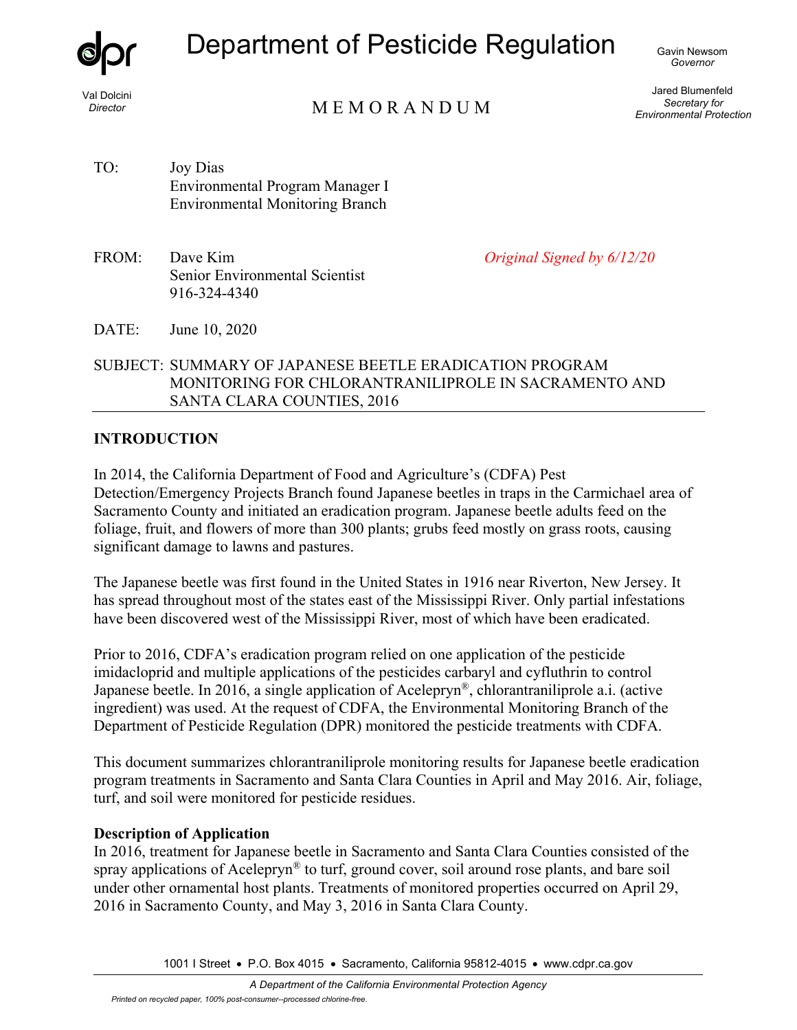

Val Dolcini *Director* 

# Department of Pesticide Regulation

M E M O R A N D U M

Jared Blumenfeld *Secretary for Environmental Protection* 

TO: Joy Dias Environmental Program Manager I Environmental Monitoring Branch

FROM: Dave Kim Senior Environmental Scientist 916-324-4340

*Original Signed by 6/12/20*

DATE: June 10, 2020

SUBJECT: SUMMARY OF JAPANESE BEETLE ERADICATION PROGRAM MONITORING FOR CHLORANTRANILIPROLE IN SACRAMENTO AND SANTA CLARA COUNTIES, 2016

#### **INTRODUCTION**

In 2014, the California Department of Food and Agriculture's (CDFA) Pest Detection/Emergency Projects Branch found Japanese beetles in traps in the Carmichael area of Sacramento County and initiated an eradication program. Japanese beetle adults feed on the foliage, fruit, and flowers of more than 300 plants; grubs feed mostly on grass roots, causing significant damage to lawns and pastures.

The Japanese beetle was first found in the United States in 1916 near Riverton, New Jersey. It has spread throughout most of the states east of the Mississippi River. Only partial infestations have been discovered west of the Mississippi River, most of which have been eradicated.

Prior to 2016, CDFA's eradication program relied on one application of the pesticide imidacloprid and multiple applications of the pesticides carbaryl and cyfluthrin to control Japanese beetle. In 2016, a single application of Acelepryn®, chlorantraniliprole a.i. (active ingredient) was used. At the request of CDFA, the Environmental Monitoring Branch of the Department of Pesticide Regulation (DPR) monitored the pesticide treatments with CDFA.

This document summarizes chlorantraniliprole monitoring results for Japanese beetle eradication program treatments in Sacramento and Santa Clara Counties in April and May 2016. Air, foliage, turf, and soil were monitored for pesticide residues.

## **Description of Application**

In 2016, treatment for Japanese beetle in Sacramento and Santa Clara Counties consisted of the spray applications of Acelepryn<sup>®</sup> to turf, ground cover, soil around rose plants, and bare soil under other ornamental host plants. Treatments of monitored properties occurred on April 29, 2016 in Sacramento County, and May 3, 2016 in Santa Clara County.

1001 I Street • P.O. Box 4015 • Sacramento, California 95812-4015 • www.cdpr.ca.gov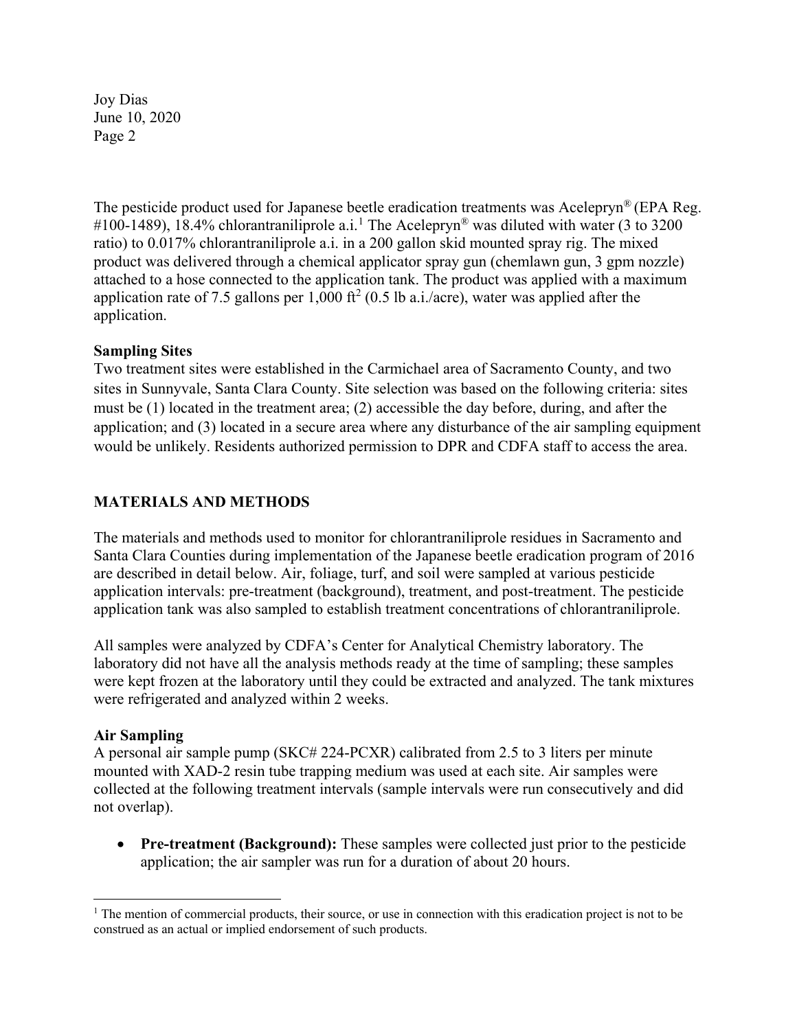The pesticide product used for Japanese beetle eradication treatments was Acelepryn® (EPA Reg. #[1](#page-1-0)00-1489), 18.4% chlorantraniliprole a.i.<sup>1</sup> The Acelepryn<sup>®</sup> was diluted with water (3 to 3200) ratio) to 0.017% chlorantraniliprole a.i. in a 200 gallon skid mounted spray rig. The mixed product was delivered through a chemical applicator spray gun (chemlawn gun, 3 gpm nozzle) attached to a hose connected to the application tank. The product was applied with a maximum application rate of 7.5 gallons per 1,000 ft<sup>2</sup> (0.5 lb a.i./acre), water was applied after the application.

#### **Sampling Sites**

Two treatment sites were established in the Carmichael area of Sacramento County, and two sites in Sunnyvale, Santa Clara County. Site selection was based on the following criteria: sites must be (1) located in the treatment area; (2) accessible the day before, during, and after the application; and (3) located in a secure area where any disturbance of the air sampling equipment would be unlikely. Residents authorized permission to DPR and CDFA staff to access the area.

## **MATERIALS AND METHODS**

The materials and methods used to monitor for chlorantraniliprole residues in Sacramento and Santa Clara Counties during implementation of the Japanese beetle eradication program of 2016 are described in detail below. Air, foliage, turf, and soil were sampled at various pesticide application intervals: pre-treatment (background), treatment, and post-treatment. The pesticide application tank was also sampled to establish treatment concentrations of chlorantraniliprole.

All samples were analyzed by CDFA's Center for Analytical Chemistry laboratory. The laboratory did not have all the analysis methods ready at the time of sampling; these samples were kept frozen at the laboratory until they could be extracted and analyzed. The tank mixtures were refrigerated and analyzed within 2 weeks.

#### **Air Sampling**

 $\overline{a}$ 

A personal air sample pump (SKC# 224-PCXR) calibrated from 2.5 to 3 liters per minute mounted with XAD-2 resin tube trapping medium was used at each site. Air samples were collected at the following treatment intervals (sample intervals were run consecutively and did not overlap).

• **Pre-treatment (Background):** These samples were collected just prior to the pesticide application; the air sampler was run for a duration of about 20 hours.

<span id="page-1-0"></span><sup>&</sup>lt;sup>1</sup> The mention of commercial products, their source, or use in connection with this eradication project is not to be construed as an actual or implied endorsement of such products.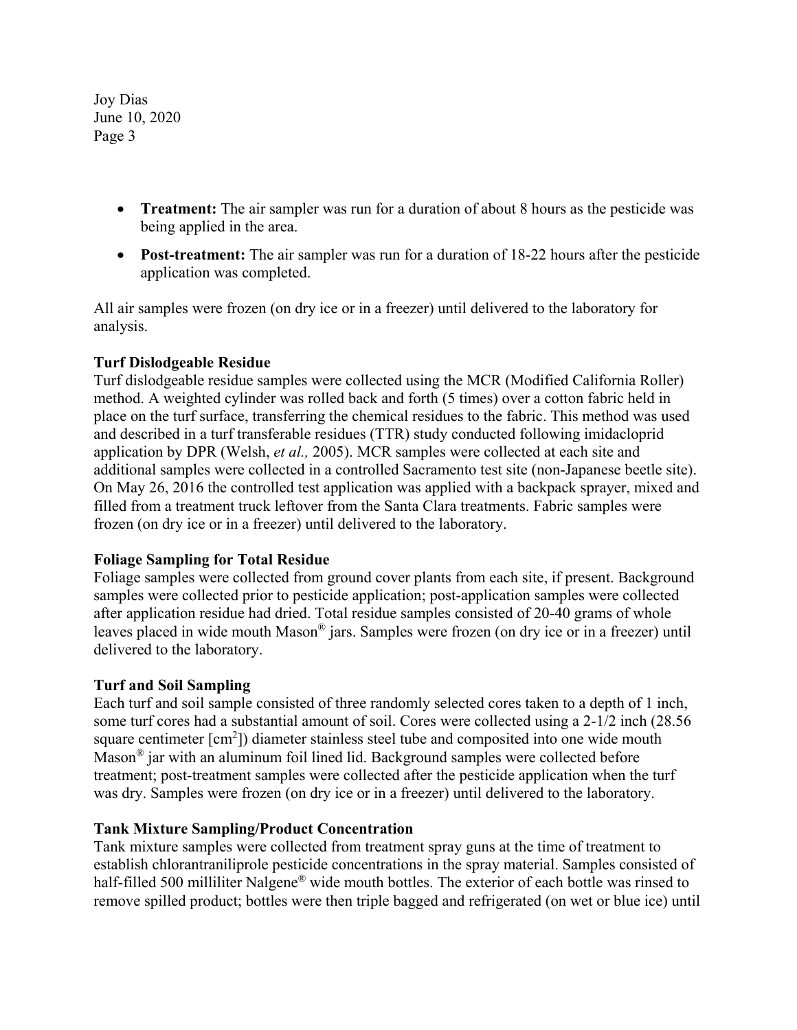- **Treatment:** The air sampler was run for a duration of about 8 hours as the pesticide was being applied in the area.
- **Post-treatment:** The air sampler was run for a duration of 18-22 hours after the pesticide application was completed.

All air samples were frozen (on dry ice or in a freezer) until delivered to the laboratory for analysis.

## **Turf Dislodgeable Residue**

Turf dislodgeable residue samples were collected using the MCR (Modified California Roller) method. A weighted cylinder was rolled back and forth (5 times) over a cotton fabric held in place on the turf surface, transferring the chemical residues to the fabric. This method was used and described in a turf transferable residues (TTR) study conducted following imidacloprid application by DPR (Welsh, *et al.,* 2005). MCR samples were collected at each site and additional samples were collected in a controlled Sacramento test site (non-Japanese beetle site). On May 26, 2016 the controlled test application was applied with a backpack sprayer, mixed and filled from a treatment truck leftover from the Santa Clara treatments. Fabric samples were frozen (on dry ice or in a freezer) until delivered to the laboratory.

## **Foliage Sampling for Total Residue**

Foliage samples were collected from ground cover plants from each site, if present. Background samples were collected prior to pesticide application; post-application samples were collected after application residue had dried. Total residue samples consisted of 20-40 grams of whole leaves placed in wide mouth Mason® jars. Samples were frozen (on dry ice or in a freezer) until delivered to the laboratory.

#### **Turf and Soil Sampling**

Each turf and soil sample consisted of three randomly selected cores taken to a depth of 1 inch, some turf cores had a substantial amount of soil. Cores were collected using a 2-1/2 inch (28.56 square centimeter  $[cm^2]$ ) diameter stainless steel tube and composited into one wide mouth Mason® jar with an aluminum foil lined lid. Background samples were collected before treatment; post-treatment samples were collected after the pesticide application when the turf was dry. Samples were frozen (on dry ice or in a freezer) until delivered to the laboratory.

#### **Tank Mixture Sampling/Product Concentration**

Tank mixture samples were collected from treatment spray guns at the time of treatment to establish chlorantraniliprole pesticide concentrations in the spray material. Samples consisted of half-filled 500 milliliter Nalgene® wide mouth bottles. The exterior of each bottle was rinsed to remove spilled product; bottles were then triple bagged and refrigerated (on wet or blue ice) until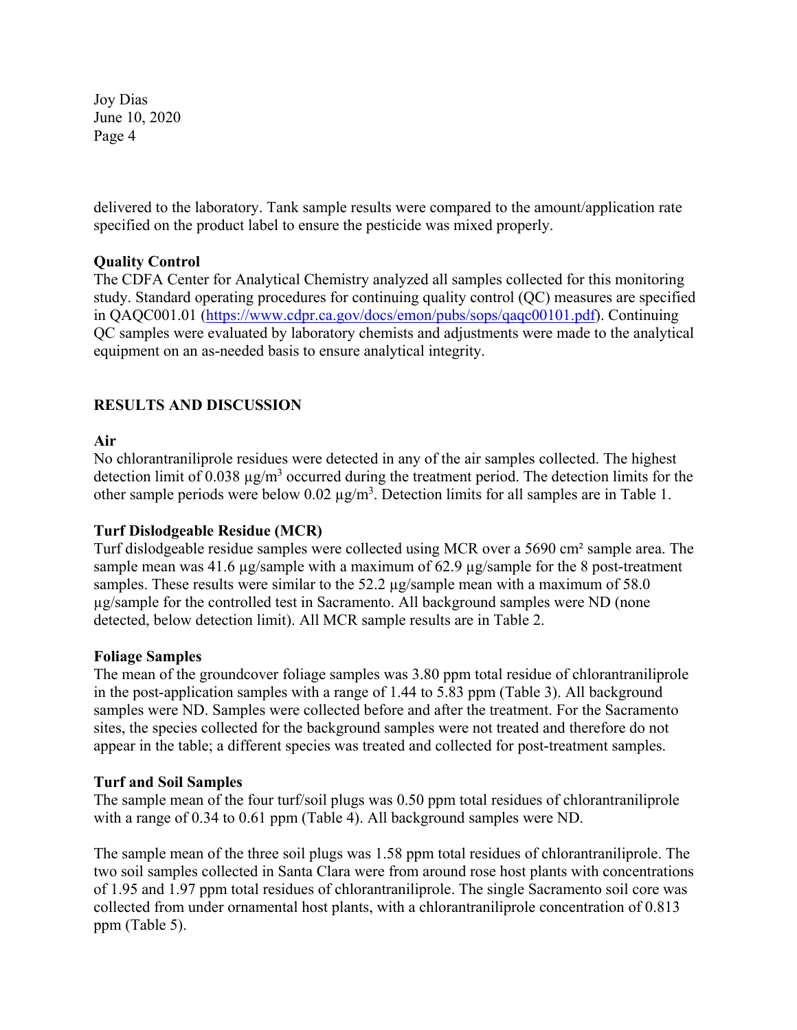delivered to the laboratory. Tank sample results were compared to the amount/application rate specified on the product label to ensure the pesticide was mixed properly.

## **Quality Control**

The CDFA Center for Analytical Chemistry analyzed all samples collected for this monitoring study. Standard operating procedures for continuing quality control (QC) measures are specified in QAQC001.01 (https://www.cdpr.ca.gov/docs/emon/pubs/sops/qaqc00101.pdf). Continuing QC samples were evaluated by laboratory chemists and adjustments were made to the analytical equipment on an as-needed basis to ensure analytical integrity.

## **RESULTS AND DISCUSSION**

#### **Air**

No chlorantraniliprole residues were detected in any of the air samples collected. The highest detection limit of 0.038  $\mu$ g/m<sup>3</sup> occurred during the treatment period. The detection limits for the other sample periods were below  $0.02 \mu g/m<sup>3</sup>$ . Detection limits for all samples are in Table 1.

## **Turf Dislodgeable Residue (MCR)**

Turf dislodgeable residue samples were collected using MCR over a 5690 cm² sample area. The sample mean was 41.6 µg/sample with a maximum of 62.9 µg/sample for the 8 post-treatment samples. These results were similar to the 52.2 µg/sample mean with a maximum of 58.0 µg/sample for the controlled test in Sacramento. All background samples were ND (none detected, below detection limit). All MCR sample results are in Table 2.

#### **Foliage Samples**

The mean of the groundcover foliage samples was 3.80 ppm total residue of chlorantraniliprole in the post-application samples with a range of 1.44 to 5.83 ppm (Table 3). All background samples were ND. Samples were collected before and after the treatment. For the Sacramento sites, the species collected for the background samples were not treated and therefore do not appear in the table; a different species was treated and collected for post-treatment samples.

#### **Turf and Soil Samples**

The sample mean of the four turf/soil plugs was 0.50 ppm total residues of chlorantraniliprole with a range of 0.34 to 0.61 ppm (Table 4). All background samples were ND.

The sample mean of the three soil plugs was 1.58 ppm total residues of chlorantraniliprole. The two soil samples collected in Santa Clara were from around rose host plants with concentrations of 1.95 and 1.97 ppm total residues of chlorantraniliprole. The single Sacramento soil core was collected from under ornamental host plants, with a chlorantraniliprole concentration of 0.813 ppm (Table 5).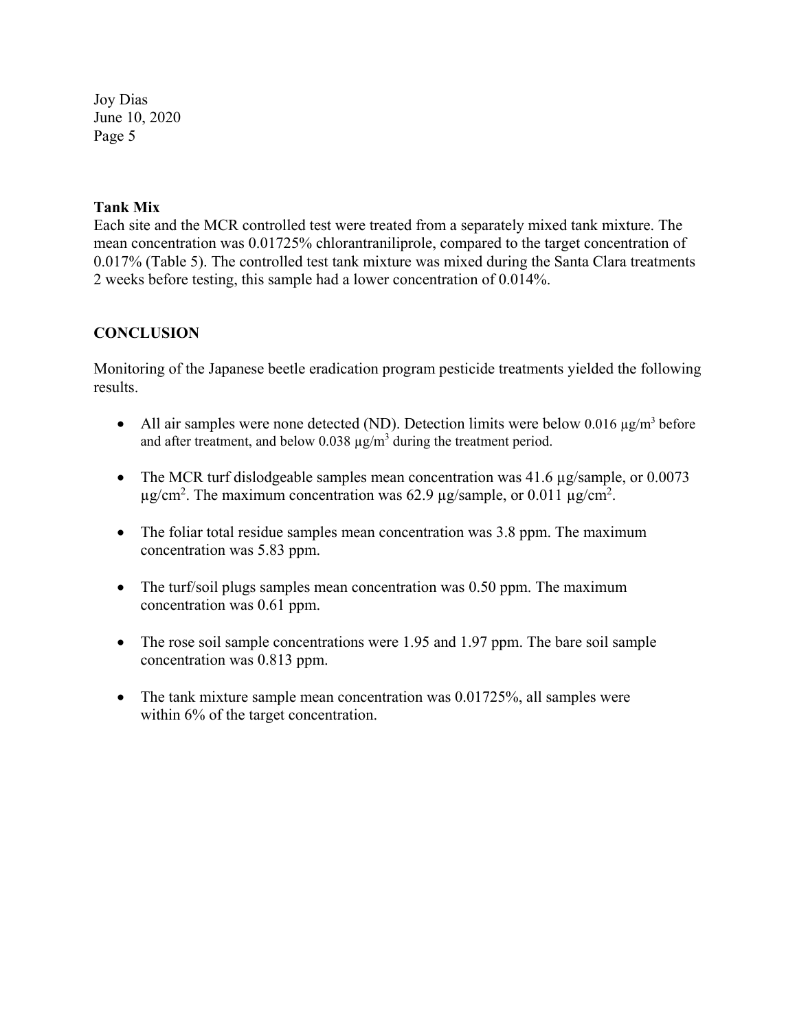#### **Tank Mix**

Each site and the MCR controlled test were treated from a separately mixed tank mixture. The mean concentration was 0.01725% chlorantraniliprole, compared to the target concentration of 0.017% (Table 5). The controlled test tank mixture was mixed during the Santa Clara treatments 2 weeks before testing, this sample had a lower concentration of 0.014%.

## **CONCLUSION**

Monitoring of the Japanese beetle eradication program pesticide treatments yielded the following results.

- All air samples were none detected (ND). Detection limits were below 0.016  $\mu$ g/m<sup>3</sup> before and after treatment, and below  $0.038 \mu g/m^3$  during the treatment period.
- The MCR turf dislodgeable samples mean concentration was 41.6 µg/sample, or 0.0073  $\mu$ g/cm<sup>2</sup>. The maximum concentration was 62.9  $\mu$ g/sample, or 0.011  $\mu$ g/cm<sup>2</sup>.
- The foliar total residue samples mean concentration was 3.8 ppm. The maximum concentration was 5.83 ppm.
- The turf/soil plugs samples mean concentration was 0.50 ppm. The maximum concentration was 0.61 ppm.
- The rose soil sample concentrations were 1.95 and 1.97 ppm. The bare soil sample concentration was 0.813 ppm.
- The tank mixture sample mean concentration was 0.01725%, all samples were within 6% of the target concentration.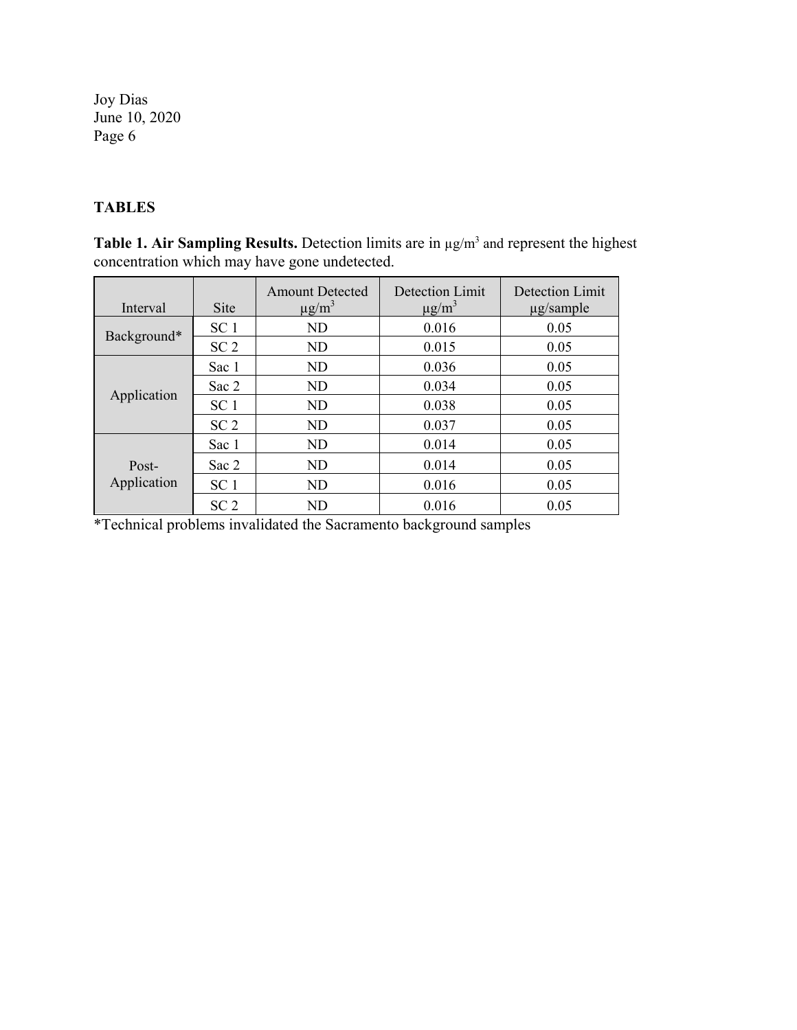## **TABLES**

**Table 1. Air Sampling Results.** Detection limits are in  $\mu$ g/m<sup>3</sup> and represent the highest concentration which may have gone undetected.

| Interval             | <b>Site</b>     | <b>Amount Detected</b><br>$\mu$ g/m <sup>3</sup> | Detection Limit<br>$\mu$ g/m <sup>3</sup> | Detection Limit<br>$\mu$ g/sample |
|----------------------|-----------------|--------------------------------------------------|-------------------------------------------|-----------------------------------|
|                      | SC <sub>1</sub> | N <sub>D</sub>                                   | 0.016                                     | 0.05                              |
| Background*          | SC <sub>2</sub> | <b>ND</b>                                        | 0.015                                     | 0.05                              |
| Application          | Sac 1           | N <sub>D</sub>                                   | 0.036                                     | 0.05                              |
|                      | Sac 2           | N <sub>D</sub>                                   | 0.034                                     | 0.05                              |
|                      | SC <sub>1</sub> | N <sub>D</sub>                                   | 0.038                                     | 0.05                              |
|                      | SC <sub>2</sub> | N <sub>D</sub>                                   | 0.037                                     | 0.05                              |
|                      | Sac 1           | <b>ND</b>                                        | 0.014                                     | 0.05                              |
| Post-<br>Application | Sac 2           | <b>ND</b>                                        | 0.014                                     | 0.05                              |
|                      | SC <sub>1</sub> | N <sub>D</sub>                                   | 0.016                                     | 0.05                              |
|                      | SC <sub>2</sub> | <b>ND</b>                                        | 0.016                                     | 0.05                              |

\*Technical problems invalidated the Sacramento background samples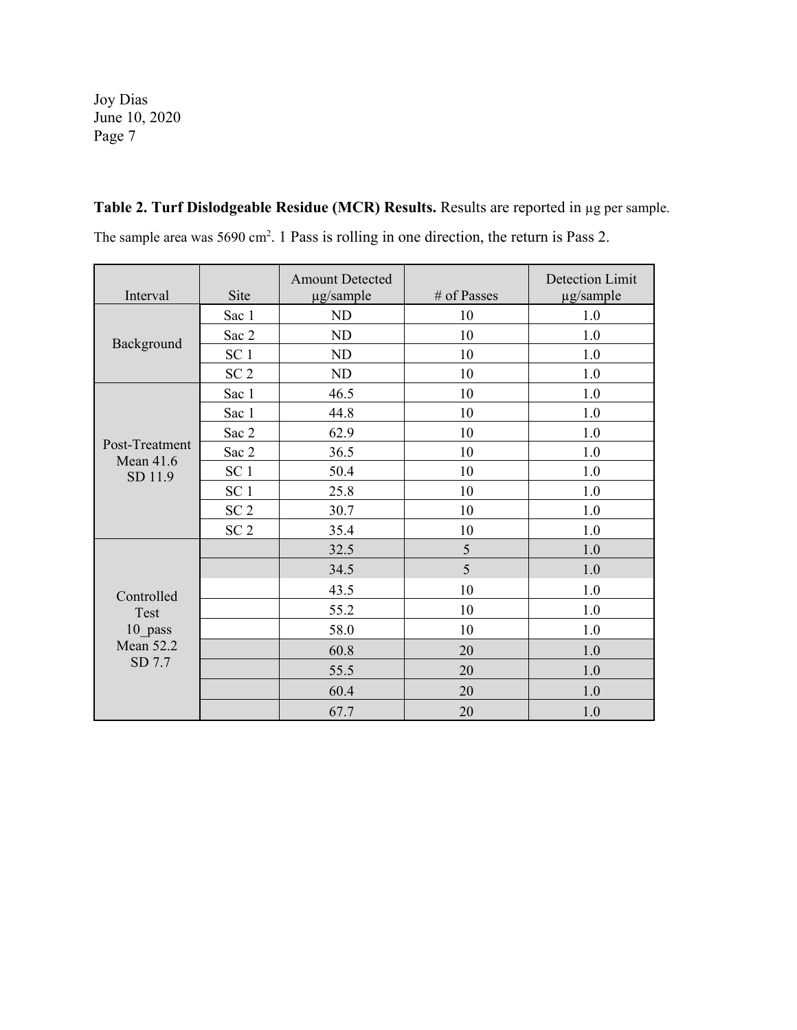**Table 2. Turf Dislodgeable Residue (MCR) Results.** Results are reported in µg per sample. The sample area was  $5690 \text{ cm}^2$ . 1 Pass is rolling in one direction, the return is Pass 2.

| Interval                                                    | Site            | <b>Amount Detected</b><br>µg/sample | # of Passes | Detection Limit<br>µg/sample |
|-------------------------------------------------------------|-----------------|-------------------------------------|-------------|------------------------------|
| Background                                                  | Sac 1           | <b>ND</b>                           | 10          | 1.0                          |
|                                                             | Sac 2           | <b>ND</b>                           | 10          | 1.0                          |
|                                                             | SC <sub>1</sub> | <b>ND</b>                           | 10          | 1.0                          |
|                                                             | SC <sub>2</sub> | ND                                  | 10          | 1.0                          |
|                                                             | Sac 1           | 46.5                                | 10          | 1.0                          |
|                                                             | Sac 1           | 44.8                                | 10          | 1.0                          |
|                                                             | Sac 2           | 62.9                                | 10          | 1.0                          |
| Post-Treatment<br><b>Mean 41.6</b>                          | Sac 2           | 36.5                                | 10          | 1.0                          |
| SD 11.9                                                     | SC <sub>1</sub> | 50.4                                | 10          | 1.0                          |
|                                                             | SC <sub>1</sub> | 25.8                                | 10          | 1.0                          |
|                                                             | SC <sub>2</sub> | 30.7                                | 10          | 1.0                          |
|                                                             | SC <sub>2</sub> | 35.4                                | 10          | 1.0                          |
|                                                             |                 | 32.5                                | 5           | 1.0                          |
| Controlled<br>Test<br>10 pass<br><b>Mean 52.2</b><br>SD 7.7 |                 | 34.5                                | 5           | 1.0                          |
|                                                             |                 | 43.5                                | 10          | 1.0                          |
|                                                             |                 | 55.2                                | 10          | 1.0                          |
|                                                             |                 | 58.0                                | 10          | 1.0                          |
|                                                             |                 | 60.8                                | 20          | 1.0                          |
|                                                             |                 | 55.5                                | 20          | 1.0                          |
|                                                             |                 | 60.4                                | 20          | 1.0                          |
|                                                             |                 | 67.7                                | 20          | 1.0                          |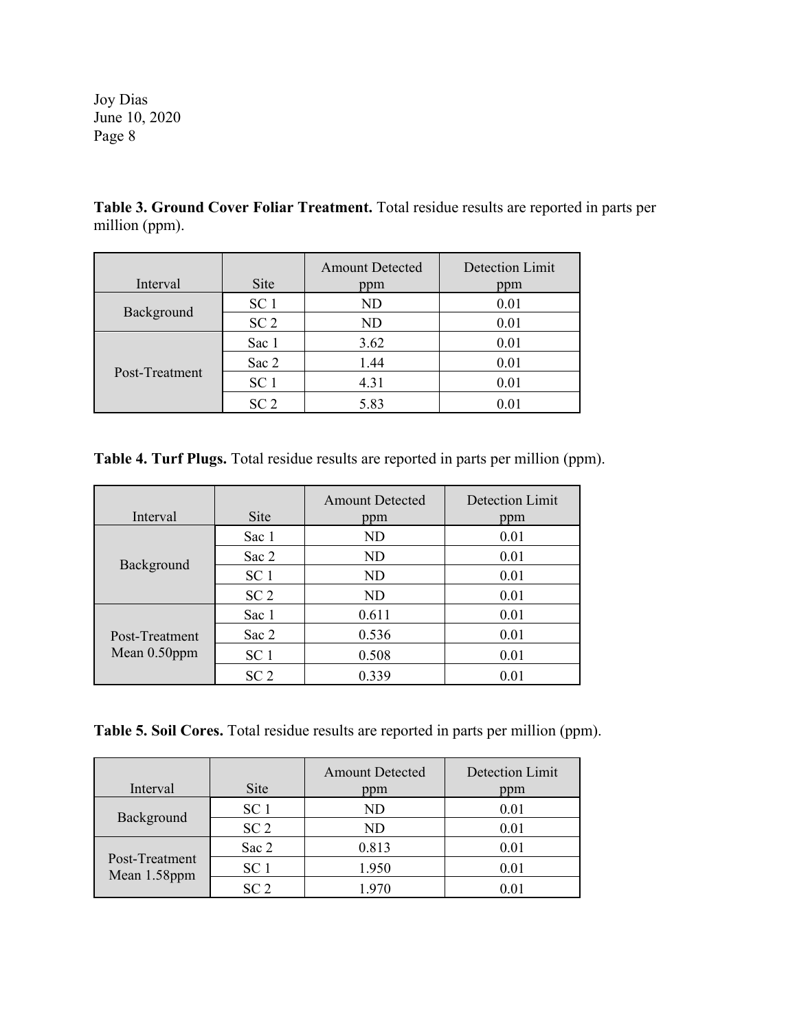**Table 3. Ground Cover Foliar Treatment.** Total residue results are reported in parts per million (ppm).

|                |                 | <b>Amount Detected</b> | Detection Limit |
|----------------|-----------------|------------------------|-----------------|
| Interval       | <b>Site</b>     | ppm                    | ppm             |
| Background     | SC <sub>1</sub> | ND                     | 0.01            |
|                | SC <sub>2</sub> | ND                     | 0.01            |
| Post-Treatment | Sac 1           | 3.62                   | 0.01            |
|                | Sac 2           | 1.44                   | 0.01            |
|                | SC <sub>1</sub> | 4.31                   | 0.01            |
|                | SC <sub>2</sub> | 5.83                   | 0.01            |

**Table 4. Turf Plugs.** Total residue results are reported in parts per million (ppm).

| Interval                          | <b>Site</b>     | <b>Amount Detected</b><br>ppm | Detection Limit<br>ppm |
|-----------------------------------|-----------------|-------------------------------|------------------------|
| Background                        | Sac 1           | ND                            | 0.01                   |
|                                   | Sac 2           | ND                            | 0.01                   |
|                                   | SC <sub>1</sub> | ND                            | 0.01                   |
|                                   | SC <sub>2</sub> | ND                            | 0.01                   |
| Post-Treatment<br>Mean $0.50$ ppm | Sac 1           | 0.611                         | 0.01                   |
|                                   | Sac 2           | 0.536                         | 0.01                   |
|                                   | SC <sub>1</sub> | 0.508                         | 0.01                   |
|                                   | SC <sub>2</sub> | 0.339                         | 0.01                   |

**Table 5. Soil Cores.** Total residue results are reported in parts per million (ppm).

| Interval                       | <b>Site</b>     | <b>Amount Detected</b><br>ppm | Detection Limit<br>ppm |
|--------------------------------|-----------------|-------------------------------|------------------------|
| Background                     | SC <sub>1</sub> | ND                            | 0.01                   |
|                                | SC <sub>2</sub> | ND                            | 0.01                   |
| Post-Treatment<br>Mean 1.58ppm | Sac 2           | 0.813                         | 0.01                   |
|                                | SC <sub>1</sub> | 1.950                         | 0.01                   |
|                                | SC <sub>2</sub> | 1.970                         | 0.01                   |